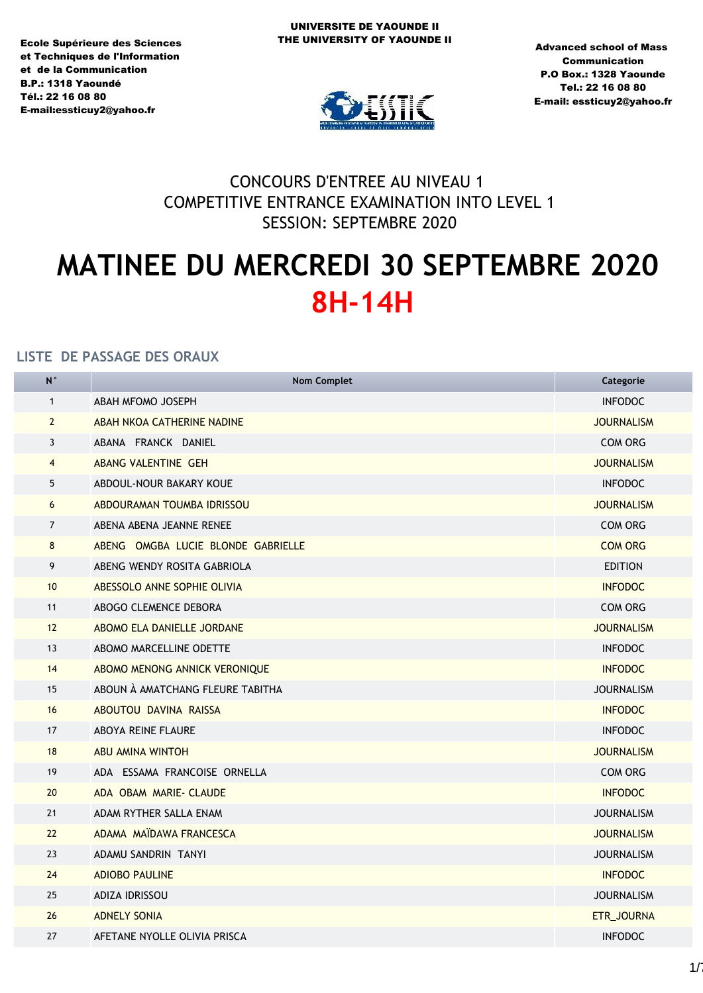Ecole Supérieure des Sciences et Techniques de l'Information et de la Communication **B.P.: 1318 Yaoundé** TÈl.: 22 16 08 80 E-mail:essticuy2@yahoo.fr



Advanced school of Mass **Communication** P.O Box.: 1328 Yaounde Tel.: 22 16 08 80 E-mail: essticuy2@yahoo.fr

## CONCOURS D'ENTREE AU NIVEAU 1 COMPETITIVE ENTRANCE EXAMINATION INTO LEVEL 1 SESSION: SEPTEMBRE 2020

# **MATINEE DU MERCREDI 30 SEPTEMBRE 2020 8H-14H**

| $\overline{N}$ | <b>Nom Complet</b>                                    | Categorie         |  |  |
|----------------|-------------------------------------------------------|-------------------|--|--|
| $\mathbf{1}$   | ABAH MFOMO JOSEPH                                     | <b>INFODOC</b>    |  |  |
| $\overline{2}$ | ABAH NKOA CATHERINE NADINE                            | <b>JOURNALISM</b> |  |  |
| 3              | ABANA FRANCK DANIEL                                   | <b>COM ORG</b>    |  |  |
| $\overline{4}$ | <b>ABANG VALENTINE GEH</b>                            | <b>JOURNALISM</b> |  |  |
| 5              | ABDOUL-NOUR BAKARY KOUE                               | <b>INFODOC</b>    |  |  |
| 6              | ABDOURAMAN TOUMBA IDRISSOU                            | <b>JOURNALISM</b> |  |  |
| $\overline{7}$ | ABENA ABENA JEANNE RENEE                              | COM ORG           |  |  |
| 8              | ABENG OMGBA LUCIE BLONDE GABRIELLE                    | <b>COM ORG</b>    |  |  |
| 9              | ABENG WENDY ROSITA GABRIOLA                           | <b>EDITION</b>    |  |  |
| 10             | ABESSOLO ANNE SOPHIE OLIVIA<br><b>INFODOC</b>         |                   |  |  |
| 11             | ABOGO CLEMENCE DEBORA<br>COM ORG                      |                   |  |  |
| 12             | ABOMO ELA DANIELLE JORDANE<br><b>JOURNALISM</b>       |                   |  |  |
| 13             | ABOMO MARCELLINE ODETTE<br><b>INFODOC</b>             |                   |  |  |
| 14             | <b>INFODOC</b><br>ABOMO MENONG ANNICK VERONIQUE       |                   |  |  |
| 15             | ABOUN À AMATCHANG FLEURE TABITHA<br><b>JOURNALISM</b> |                   |  |  |
| 16             | <b>INFODOC</b><br>ABOUTOU DAVINA RAISSA               |                   |  |  |
| 17             | <b>ABOYA REINE FLAURE</b><br><b>INFODOC</b>           |                   |  |  |
| 18             | <b>ABU AMINA WINTOH</b>                               | <b>JOURNALISM</b> |  |  |
| 19             | ADA ESSAMA FRANCOISE ORNELLA                          | <b>COM ORG</b>    |  |  |
| 20             | ADA OBAM MARIE- CLAUDE                                | <b>INFODOC</b>    |  |  |
| 21             | ADAM RYTHER SALLA ENAM                                | <b>JOURNALISM</b> |  |  |
| 22             | ADAMA MAIDAWA FRANCESCA                               | <b>JOURNALISM</b> |  |  |
| 23             | ADAMU SANDRIN TANYI                                   | <b>JOURNALISM</b> |  |  |
| 24             | <b>ADIOBO PAULINE</b>                                 | <b>INFODOC</b>    |  |  |
| 25             | <b>ADIZA IDRISSOU</b><br><b>JOURNALISM</b>            |                   |  |  |
| 26             | <b>ADNELY SONIA</b>                                   | ETR_JOURNA        |  |  |
| 27             | AFETANE NYOLLE OLIVIA PRISCA                          | <b>INFODOC</b>    |  |  |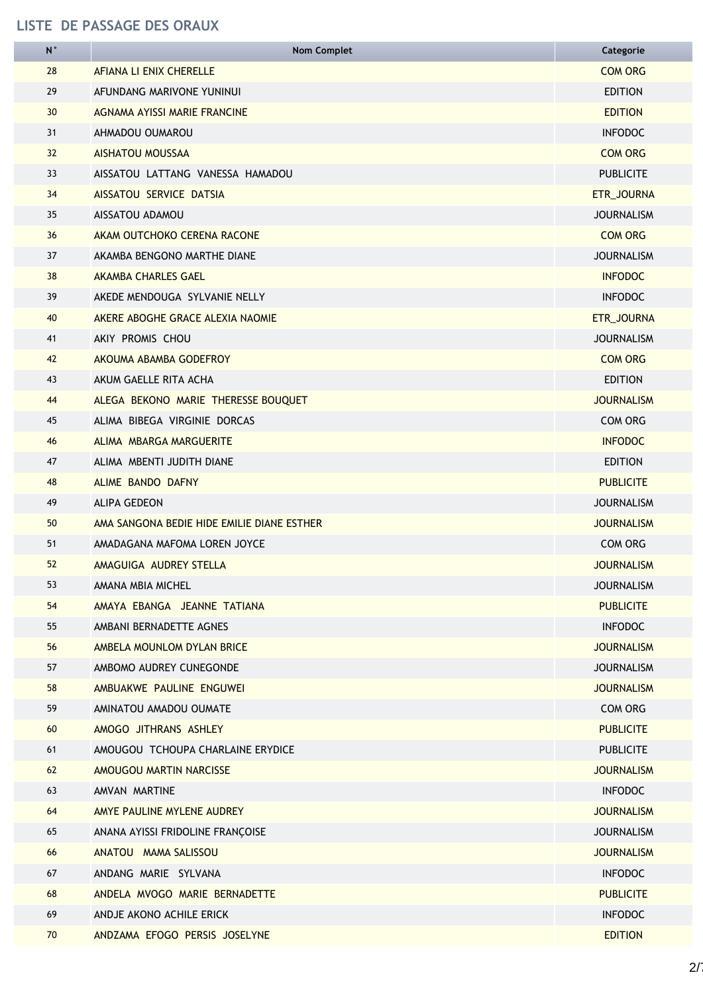| N               | <b>Nom Complet</b>                                              | Categorie         |  |  |
|-----------------|-----------------------------------------------------------------|-------------------|--|--|
| 28              | AFIANA LI ENIX CHERELLE                                         | <b>COM ORG</b>    |  |  |
| 29              | AFUNDANG MARIVONE YUNINUI                                       | <b>EDITION</b>    |  |  |
| 30 <sup>°</sup> | AGNAMA AYISSI MARIE FRANCINE                                    | <b>EDITION</b>    |  |  |
| 31              | AHMADOU OUMAROU                                                 | <b>INFODOC</b>    |  |  |
| 32              | <b>AISHATOU MOUSSAA</b>                                         | <b>COM ORG</b>    |  |  |
| 33              | AISSATOU LATTANG VANESSA HAMADOU                                | <b>PUBLICITE</b>  |  |  |
| 34              | AISSATOU SERVICE DATSIA                                         | ETR_JOURNA        |  |  |
| 35              | AISSATOU ADAMOU                                                 | <b>JOURNALISM</b> |  |  |
| 36              | AKAM OUTCHOKO CERENA RACONE                                     | <b>COM ORG</b>    |  |  |
| 37              | AKAMBA BENGONO MARTHE DIANE                                     | <b>JOURNALISM</b> |  |  |
| 38              | <b>AKAMBA CHARLES GAEL</b>                                      | <b>INFODOC</b>    |  |  |
| 39              | AKEDE MENDOUGA SYLVANIE NELLY                                   | <b>INFODOC</b>    |  |  |
| 40              | AKERE ABOGHE GRACE ALEXIA NAOMIE                                | ETR_JOURNA        |  |  |
| 41              | AKIY PROMIS CHOU                                                | <b>JOURNALISM</b> |  |  |
| 42              | AKOUMA ABAMBA GODEFROY                                          | <b>COM ORG</b>    |  |  |
| 43              | AKUM GAELLE RITA ACHA                                           | <b>EDITION</b>    |  |  |
| 44              | ALEGA BEKONO MARIE THERESSE BOUQUET                             | <b>JOURNALISM</b> |  |  |
| 45              | ALIMA BIBEGA VIRGINIE DORCAS<br><b>COM ORG</b>                  |                   |  |  |
| 46              | <b>INFODOC</b><br>ALIMA MBARGA MARGUERITE                       |                   |  |  |
| 47              | ALIMA MBENTI JUDITH DIANE<br><b>EDITION</b>                     |                   |  |  |
| 48              | ALIME BANDO DAFNY<br><b>PUBLICITE</b>                           |                   |  |  |
| 49              | <b>ALIPA GEDEON</b><br><b>JOURNALISM</b>                        |                   |  |  |
| 50              | AMA SANGONA BEDIE HIDE EMILIE DIANE ESTHER<br><b>JOURNALISM</b> |                   |  |  |
| 51              | <b>COM ORG</b><br>AMADAGANA MAFOMA LOREN JOYCE                  |                   |  |  |
| 52              | AMAGUIGA AUDREY STELLA<br><b>JOURNALISM</b>                     |                   |  |  |
| 53              | AMANA MBIA MICHEL<br><b>JOURNALISM</b>                          |                   |  |  |
| 54              | AMAYA EBANGA JEANNE TATIANA<br><b>PUBLICITE</b>                 |                   |  |  |
| 55              | AMBANI BERNADETTE AGNES                                         | <b>INFODOC</b>    |  |  |
| 56              | AMBELA MOUNLOM DYLAN BRICE                                      | <b>JOURNALISM</b> |  |  |
| 57              | AMBOMO AUDREY CUNEGONDE                                         | <b>JOURNALISM</b> |  |  |
| 58              | AMBUAKWE PAULINE ENGUWEI<br><b>JOURNALISM</b>                   |                   |  |  |
| 59              | AMINATOU AMADOU OUMATE                                          | COM ORG           |  |  |
| 60              | AMOGO JITHRANS ASHLEY                                           | <b>PUBLICITE</b>  |  |  |
| 61              | AMOUGOU TCHOUPA CHARLAINE ERYDICE                               | <b>PUBLICITE</b>  |  |  |
| 62              | AMOUGOU MARTIN NARCISSE<br><b>JOURNALISM</b>                    |                   |  |  |
| 63              | AMVAN MARTINE<br><b>INFODOC</b>                                 |                   |  |  |
| 64              | AMYE PAULINE MYLENE AUDREY<br><b>JOURNALISM</b>                 |                   |  |  |
| 65              | ANANA AYISSI FRIDOLINE FRANÇOISE<br><b>JOURNALISM</b>           |                   |  |  |
| 66              | ANATOU MAMA SALISSOU<br><b>JOURNALISM</b>                       |                   |  |  |
| 67              | ANDANG MARIE SYLVANA                                            | <b>INFODOC</b>    |  |  |
| 68              | ANDELA MVOGO MARIE BERNADETTE                                   | <b>PUBLICITE</b>  |  |  |
| 69              | ANDJE AKONO ACHILE ERICK                                        | <b>INFODOC</b>    |  |  |
| 70              | ANDZAMA EFOGO PERSIS JOSELYNE                                   | <b>EDITION</b>    |  |  |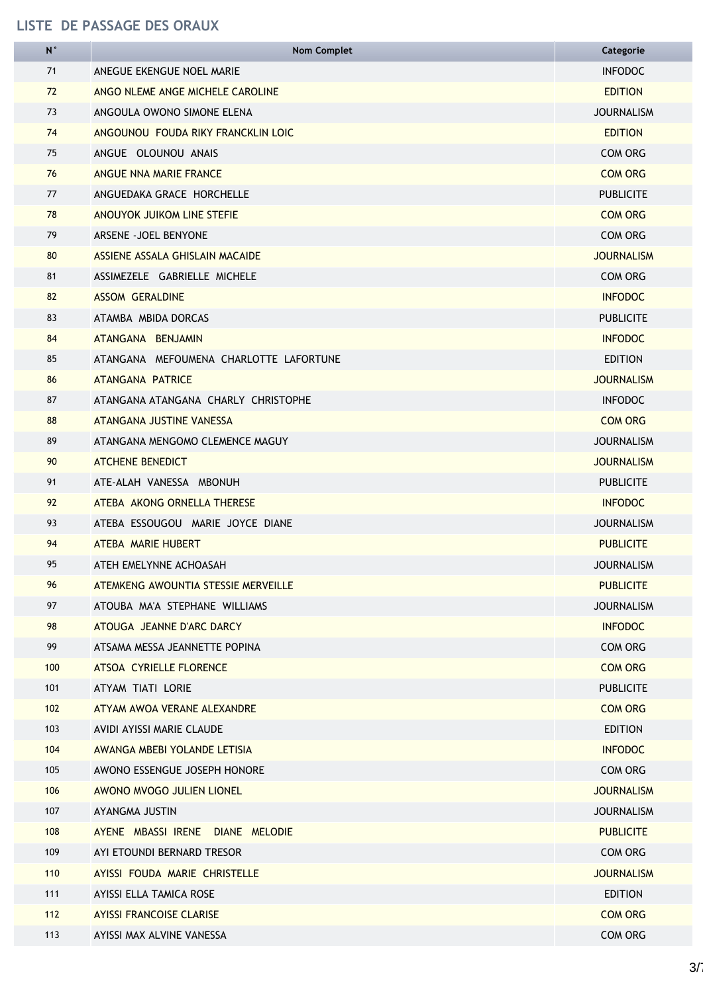| N   | <b>Nom Complet</b>                                      | Categorie         |  |  |
|-----|---------------------------------------------------------|-------------------|--|--|
| 71  | ANEGUE EKENGUE NOEL MARIE                               | <b>INFODOC</b>    |  |  |
| 72  | ANGO NLEME ANGE MICHELE CAROLINE                        | <b>EDITION</b>    |  |  |
| 73  | ANGOULA OWONO SIMONE ELENA                              | <b>JOURNALISM</b> |  |  |
| 74  | ANGOUNOU FOUDA RIKY FRANCKLIN LOIC                      | <b>EDITION</b>    |  |  |
| 75  | ANGUE OLOUNOU ANAIS                                     | <b>COM ORG</b>    |  |  |
| 76  | ANGUE NNA MARIE FRANCE                                  | <b>COM ORG</b>    |  |  |
| 77  | ANGUEDAKA GRACE HORCHELLE                               | <b>PUBLICITE</b>  |  |  |
| 78  | ANOUYOK JUIKOM LINE STEFIE                              | <b>COM ORG</b>    |  |  |
| 79  | ARSENE - JOEL BENYONE                                   | COM ORG           |  |  |
| 80  | ASSIENE ASSALA GHISLAIN MACAIDE                         | <b>JOURNALISM</b> |  |  |
| 81  | ASSIMEZELE GABRIELLE MICHELE                            | COM ORG           |  |  |
| 82  | <b>ASSOM GERALDINE</b>                                  | <b>INFODOC</b>    |  |  |
| 83  | ATAMBA MBIDA DORCAS                                     | <b>PUBLICITE</b>  |  |  |
| 84  | ATANGANA BENJAMIN                                       | <b>INFODOC</b>    |  |  |
| 85  | ATANGANA MEFOUMENA CHARLOTTE LAFORTUNE                  | <b>EDITION</b>    |  |  |
| 86  | ATANGANA PATRICE                                        | <b>JOURNALISM</b> |  |  |
| 87  | ATANGANA ATANGANA CHARLY CHRISTOPHE                     | <b>INFODOC</b>    |  |  |
| 88  | ATANGANA JUSTINE VANESSA<br><b>COM ORG</b>              |                   |  |  |
| 89  | ATANGANA MENGOMO CLEMENCE MAGUY                         | <b>JOURNALISM</b> |  |  |
| 90  | <b>ATCHENE BENEDICT</b><br><b>JOURNALISM</b>            |                   |  |  |
| 91  | ATE-ALAH VANESSA MBONUH                                 |                   |  |  |
| 92  | ATEBA AKONG ORNELLA THERESE                             | <b>INFODOC</b>    |  |  |
| 93  | ATEBA ESSOUGOU MARIE JOYCE DIANE                        | <b>JOURNALISM</b> |  |  |
| 94  | ATEBA MARIE HUBERT                                      | <b>PUBLICITE</b>  |  |  |
| 95  | <b>JOURNALISM</b><br>ATEH EMELYNNE ACHOASAH             |                   |  |  |
| 96  | ATEMKENG AWOUNTIA STESSIE MERVEILLE<br><b>PUBLICITE</b> |                   |  |  |
| 97  | ATOUBA MA'A STEPHANE WILLIAMS<br><b>JOURNALISM</b>      |                   |  |  |
| 98  | ATOUGA JEANNE D'ARC DARCY                               | <b>INFODOC</b>    |  |  |
| 99  | ATSAMA MESSA JEANNETTE POPINA                           | COM ORG           |  |  |
| 100 | ATSOA CYRIELLE FLORENCE                                 | <b>COM ORG</b>    |  |  |
| 101 | ATYAM TIATI LORIE                                       | <b>PUBLICITE</b>  |  |  |
| 102 | ATYAM AWOA VERANE ALEXANDRE                             | <b>COM ORG</b>    |  |  |
| 103 | AVIDI AYISSI MARIE CLAUDE                               | <b>EDITION</b>    |  |  |
| 104 | AWANGA MBEBI YOLANDE LETISIA                            | <b>INFODOC</b>    |  |  |
| 105 | AWONO ESSENGUE JOSEPH HONORE                            | COM ORG           |  |  |
| 106 | AWONO MVOGO JULIEN LIONEL                               | <b>JOURNALISM</b> |  |  |
| 107 | AYANGMA JUSTIN                                          | <b>JOURNALISM</b> |  |  |
| 108 | AYENE MBASSI IRENE DIANE MELODIE<br><b>PUBLICITE</b>    |                   |  |  |
| 109 | AYI ETOUNDI BERNARD TRESOR<br>COM ORG                   |                   |  |  |
| 110 | AYISSI FOUDA MARIE CHRISTELLE                           | <b>JOURNALISM</b> |  |  |
| 111 | AYISSI ELLA TAMICA ROSE                                 | <b>EDITION</b>    |  |  |
| 112 | <b>AYISSI FRANCOISE CLARISE</b>                         | <b>COM ORG</b>    |  |  |
| 113 | AYISSI MAX ALVINE VANESSA                               | COM ORG           |  |  |

j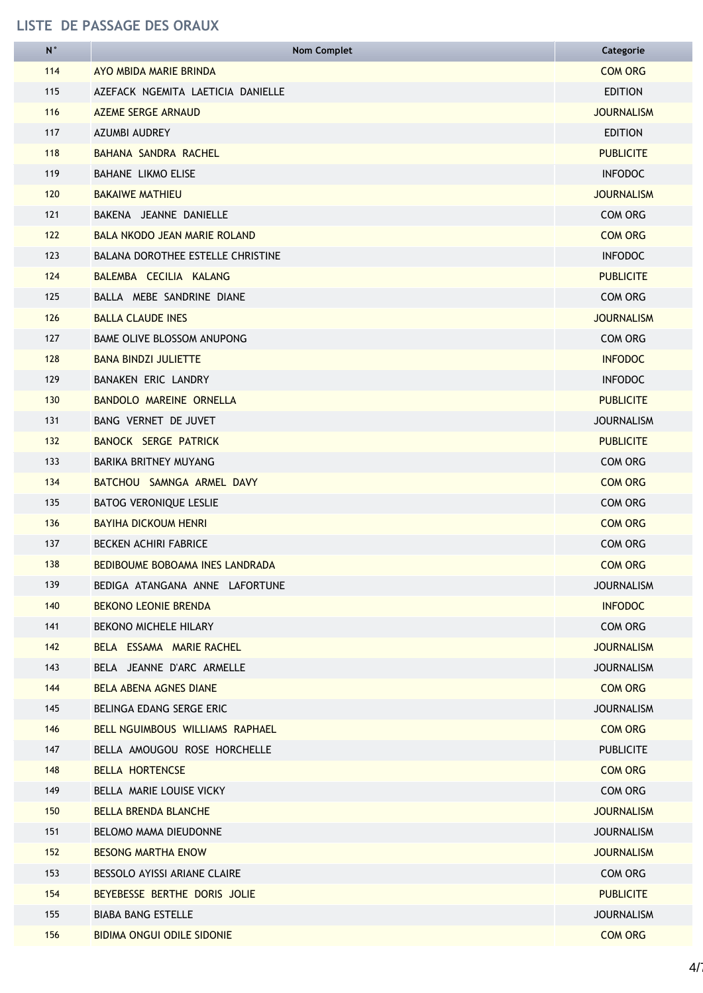| ${\sf N}$ | <b>Nom Complet</b>                  | Categorie         |
|-----------|-------------------------------------|-------------------|
| 114       | AYO MBIDA MARIE BRINDA              | <b>COM ORG</b>    |
| 115       | AZEFACK NGEMITA LAETICIA DANIELLE   | <b>EDITION</b>    |
| 116       | <b>AZEME SERGE ARNAUD</b>           | <b>JOURNALISM</b> |
| 117       | <b>AZUMBI AUDREY</b>                | <b>EDITION</b>    |
| 118       | BAHANA SANDRA RACHEL                | <b>PUBLICITE</b>  |
| 119       | <b>BAHANE LIKMO ELISE</b>           | <b>INFODOC</b>    |
| 120       | <b>BAKAIWE MATHIEU</b>              | <b>JOURNALISM</b> |
| 121       | BAKENA JEANNE DANIELLE              | COM ORG           |
| 122       | <b>BALA NKODO JEAN MARIE ROLAND</b> | <b>COM ORG</b>    |
| 123       | BALANA DOROTHEE ESTELLE CHRISTINE   | <b>INFODOC</b>    |
| 124       | BALEMBA CECILIA KALANG              | <b>PUBLICITE</b>  |
| 125       | BALLA MEBE SANDRINE DIANE           | <b>COM ORG</b>    |
| 126       | <b>BALLA CLAUDE INES</b>            | <b>JOURNALISM</b> |
| 127       | <b>BAME OLIVE BLOSSOM ANUPONG</b>   | <b>COM ORG</b>    |
| 128       | <b>BANA BINDZI JULIETTE</b>         | <b>INFODOC</b>    |
| 129       | BANAKEN ERIC LANDRY                 | <b>INFODOC</b>    |
| 130       | BANDOLO MAREINE ORNELLA             | <b>PUBLICITE</b>  |
| 131       | BANG VERNET DE JUVET                | <b>JOURNALISM</b> |
| 132       | BANOCK SERGE PATRICK                | <b>PUBLICITE</b>  |
| 133       | BARIKA BRITNEY MUYANG               | <b>COM ORG</b>    |
| 134       | BATCHOU SAMNGA ARMEL DAVY           | <b>COM ORG</b>    |
| 135       | <b>BATOG VERONIQUE LESLIE</b>       | COM ORG           |
| 136       | <b>BAYIHA DICKOUM HENRI</b>         | <b>COM ORG</b>    |
| 137       | <b>BECKEN ACHIRI FABRICE</b>        | <b>COM ORG</b>    |
| 138       | BEDIBOUME BOBOAMA INES LANDRADA     | <b>COM ORG</b>    |
| 139       | BEDIGA ATANGANA ANNE LAFORTUNE      | <b>JOURNALISM</b> |
| 140       | <b>BEKONO LEONIE BRENDA</b>         | <b>INFODOC</b>    |
| 141       | <b>BEKONO MICHELE HILARY</b>        | COM ORG           |
| 142       | BELA ESSAMA MARIE RACHEL            | <b>JOURNALISM</b> |
| 143       | BELA JEANNE D'ARC ARMELLE           | <b>JOURNALISM</b> |
| 144       | BELA ABENA AGNES DIANE              | <b>COM ORG</b>    |
| 145       | BELINGA EDANG SERGE ERIC            | <b>JOURNALISM</b> |
| 146       | BELL NGUIMBOUS WILLIAMS RAPHAEL     | <b>COM ORG</b>    |
| 147       | BELLA AMOUGOU ROSE HORCHELLE        | <b>PUBLICITE</b>  |
| 148       | <b>BELLA HORTENCSE</b>              | <b>COM ORG</b>    |
| 149       | BELLA MARIE LOUISE VICKY            | <b>COM ORG</b>    |
| 150       | BELLA BRENDA BLANCHE                | <b>JOURNALISM</b> |
| 151       | BELOMO MAMA DIEUDONNE               | <b>JOURNALISM</b> |
| 152       | <b>BESONG MARTHA ENOW</b>           | <b>JOURNALISM</b> |
| 153       | BESSOLO AYISSI ARIANE CLAIRE        | COM ORG           |
| 154       | BEYEBESSE BERTHE DORIS JOLIE        | <b>PUBLICITE</b>  |
| 155       | <b>BIABA BANG ESTELLE</b>           | <b>JOURNALISM</b> |
| 156       | <b>BIDIMA ONGUI ODILE SIDONIE</b>   | <b>COM ORG</b>    |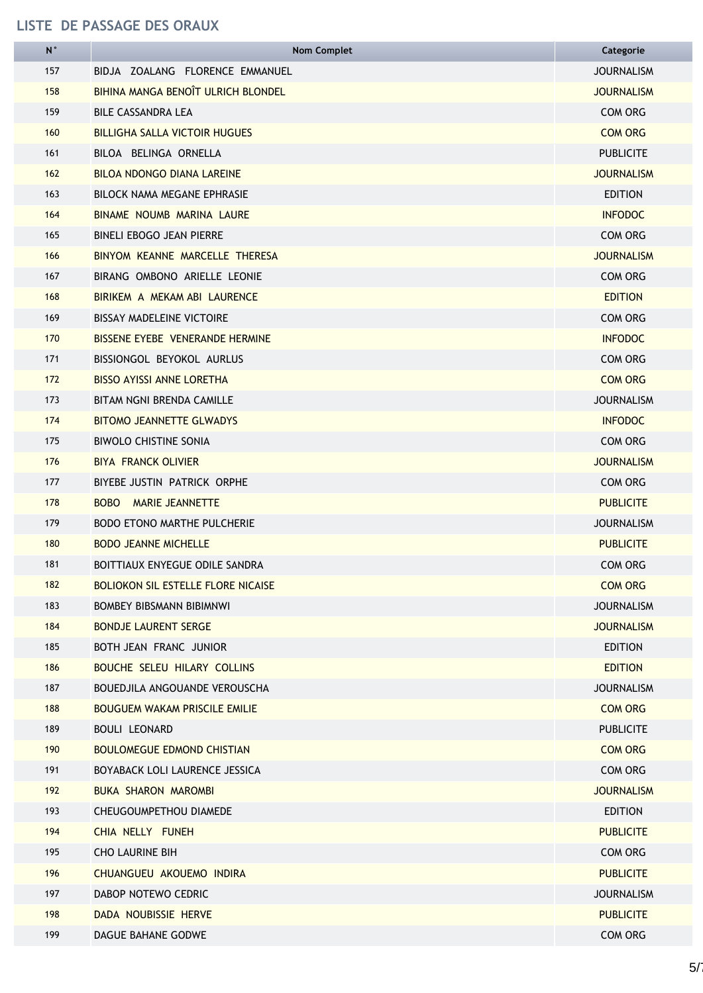| ${\sf N}$ | <b>Nom Complet</b>                        | Categorie         |
|-----------|-------------------------------------------|-------------------|
| 157       | BIDJA ZOALANG FLORENCE EMMANUEL           | <b>JOURNALISM</b> |
| 158       | BIHINA MANGA BENOÎT ULRICH BLONDEL        | <b>JOURNALISM</b> |
| 159       | BILE CASSANDRA LEA                        | COM ORG           |
| 160       | <b>BILLIGHA SALLA VICTOIR HUGUES</b>      | <b>COM ORG</b>    |
| 161       | BILOA BELINGA ORNELLA                     | <b>PUBLICITE</b>  |
| 162       | <b>BILOA NDONGO DIANA LAREINE</b>         | <b>JOURNALISM</b> |
| 163       | BILOCK NAMA MEGANE EPHRASIE               | <b>EDITION</b>    |
| 164       | BINAME NOUMB MARINA LAURE                 | <b>INFODOC</b>    |
| 165       | <b>BINELI EBOGO JEAN PIERRE</b>           | COM ORG           |
| 166       | BINYOM KEANNE MARCELLE THERESA            | <b>JOURNALISM</b> |
| 167       | BIRANG OMBONO ARIELLE LEONIE              | <b>COM ORG</b>    |
| 168       | BIRIKEM A MEKAM ABI LAURENCE              | <b>EDITION</b>    |
| 169       | <b>BISSAY MADELEINE VICTOIRE</b>          | COM ORG           |
| 170       | BISSENE EYEBE VENERANDE HERMINE           | <b>INFODOC</b>    |
| 171       | BISSIONGOL BEYOKOL AURLUS                 | COM ORG           |
| 172       | <b>BISSO AYISSI ANNE LORETHA</b>          | <b>COM ORG</b>    |
| 173       | <b>BITAM NGNI BRENDA CAMILLE</b>          | <b>JOURNALISM</b> |
| 174       | <b>BITOMO JEANNETTE GLWADYS</b>           | <b>INFODOC</b>    |
| 175       | <b>BIWOLO CHISTINE SONIA</b>              | COM ORG           |
| 176       | <b>BIYA FRANCK OLIVIER</b>                | <b>JOURNALISM</b> |
| 177       | BIYEBE JUSTIN PATRICK ORPHE               | COM ORG           |
| 178       | MARIE JEANNETTE<br><b>BOBO</b>            | <b>PUBLICITE</b>  |
| 179       | <b>BODO ETONO MARTHE PULCHERIE</b>        | <b>JOURNALISM</b> |
| 180       | <b>BODO JEANNE MICHELLE</b>               | <b>PUBLICITE</b>  |
| 181       | BOITTIAUX ENYEGUE ODILE SANDRA            | COM ORG           |
| 182       | <b>BOLIOKON SIL ESTELLE FLORE NICAISE</b> | <b>COM ORG</b>    |
| 183       | <b>BOMBEY BIBSMANN BIBIMNWI</b>           | <b>JOURNALISM</b> |
| 184       | <b>BONDJE LAURENT SERGE</b>               | <b>JOURNALISM</b> |
| 185       | BOTH JEAN FRANC JUNIOR                    | <b>EDITION</b>    |
| 186       | BOUCHE SELEU HILARY COLLINS               | <b>EDITION</b>    |
| 187       | BOUEDJILA ANGOUANDE VEROUSCHA             | <b>JOURNALISM</b> |
| 188       | <b>BOUGUEM WAKAM PRISCILE EMILIE</b>      | <b>COM ORG</b>    |
| 189       | <b>BOULI LEONARD</b>                      | <b>PUBLICITE</b>  |
| 190       | <b>BOULOMEGUE EDMOND CHISTIAN</b>         | <b>COM ORG</b>    |
| 191       | BOYABACK LOLI LAURENCE JESSICA            | COM ORG           |
| 192       | <b>BUKA SHARON MAROMBI</b>                | <b>JOURNALISM</b> |
| 193       | CHEUGOUMPETHOU DIAMEDE                    | <b>EDITION</b>    |
| 194       | CHIA NELLY FUNEH                          | <b>PUBLICITE</b>  |
| 195       | <b>CHO LAURINE BIH</b>                    | COM ORG           |
| 196       | CHUANGUEU AKOUEMO INDIRA                  | <b>PUBLICITE</b>  |
| 197       | DABOP NOTEWO CEDRIC                       | <b>JOURNALISM</b> |
| 198       | DADA NOUBISSIE HERVE                      | <b>PUBLICITE</b>  |
| 199       | DAGUE BAHANE GODWE                        | COM ORG           |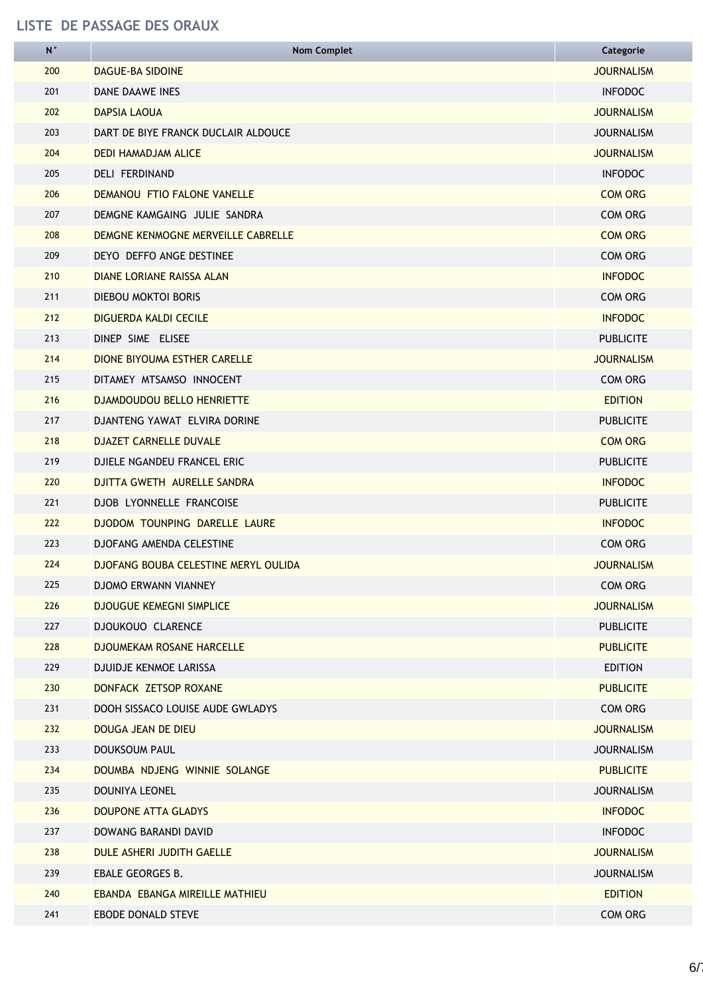| N   | <b>Nom Complet</b>                                 | Categorie         |  |  |
|-----|----------------------------------------------------|-------------------|--|--|
| 200 | <b>DAGUE-BA SIDOINE</b>                            | <b>JOURNALISM</b> |  |  |
| 201 | <b>DANE DAAWE INES</b>                             | <b>INFODOC</b>    |  |  |
| 202 | <b>DAPSIA LAOUA</b>                                | <b>JOURNALISM</b> |  |  |
| 203 | DART DE BIYE FRANCK DUCLAIR ALDOUCE                | <b>JOURNALISM</b> |  |  |
| 204 | <b>DEDI HAMADJAM ALICE</b>                         | <b>JOURNALISM</b> |  |  |
| 205 | DELI FERDINAND                                     | <b>INFODOC</b>    |  |  |
| 206 | <b>DEMANOU FTIO FALONE VANELLE</b>                 | <b>COM ORG</b>    |  |  |
| 207 | DEMGNE KAMGAING JULIE SANDRA                       | <b>COM ORG</b>    |  |  |
| 208 | DEMGNE KENMOGNE MERVEILLE CABRELLE                 | <b>COM ORG</b>    |  |  |
| 209 | DEYO DEFFO ANGE DESTINEE                           | COM ORG           |  |  |
| 210 | <b>DIANE LORIANE RAISSA ALAN</b>                   | <b>INFODOC</b>    |  |  |
| 211 | <b>DIEBOU MOKTOI BORIS</b>                         | COM ORG           |  |  |
| 212 | <b>DIGUERDA KALDI CECILE</b>                       | <b>INFODOC</b>    |  |  |
| 213 | DINEP SIME ELISEE                                  | <b>PUBLICITE</b>  |  |  |
| 214 | <b>DIONE BIYOUMA ESTHER CARELLE</b>                | <b>JOURNALISM</b> |  |  |
| 215 | DITAMEY MTSAMSO INNOCENT                           | COM ORG           |  |  |
| 216 | DJAMDOUDOU BELLO HENRIETTE                         | <b>EDITION</b>    |  |  |
| 217 | DJANTENG YAWAT ELVIRA DORINE                       | <b>PUBLICITE</b>  |  |  |
| 218 | <b>DJAZET CARNELLE DUVALE</b>                      | <b>COM ORG</b>    |  |  |
| 219 | DJIELE NGANDEU FRANCEL ERIC<br><b>PUBLICITE</b>    |                   |  |  |
| 220 | DJITTA GWETH AURELLE SANDRA<br><b>INFODOC</b>      |                   |  |  |
| 221 | <b>PUBLICITE</b><br>DJOB LYONNELLE FRANCOISE       |                   |  |  |
| 222 | DJODOM TOUNPING DARELLE LAURE<br><b>INFODOC</b>    |                   |  |  |
| 223 | <b>DJOFANG AMENDA CELESTINE</b><br><b>COM ORG</b>  |                   |  |  |
| 224 | DJOFANG BOUBA CELESTINE MERYL OULIDA<br>JOURNALISM |                   |  |  |
| 225 | <b>COM ORG</b><br><b>DJOMO ERWANN VIANNEY</b>      |                   |  |  |
| 226 | <b>DJOUGUE KEMEGNI SIMPLICE</b>                    | <b>JOURNALISM</b> |  |  |
| 227 | <b>DJOUKOUO CLARENCE</b>                           | <b>PUBLICITE</b>  |  |  |
| 228 | <b>DJOUMEKAM ROSANE HARCELLE</b>                   | <b>PUBLICITE</b>  |  |  |
| 229 | DJUIDJE KENMOE LARISSA                             | <b>EDITION</b>    |  |  |
| 230 | DONFACK ZETSOP ROXANE                              | <b>PUBLICITE</b>  |  |  |
| 231 | DOOH SISSACO LOUISE AUDE GWLADYS                   | COM ORG           |  |  |
| 232 | DOUGA JEAN DE DIEU                                 | <b>JOURNALISM</b> |  |  |
| 233 | <b>DOUKSOUM PAUL</b>                               | <b>JOURNALISM</b> |  |  |
| 234 | DOUMBA NDJENG WINNIE SOLANGE                       | <b>PUBLICITE</b>  |  |  |
| 235 | DOUNIYA LEONEL                                     | <b>JOURNALISM</b> |  |  |
| 236 | <b>DOUPONE ATTA GLADYS</b>                         | <b>INFODOC</b>    |  |  |
| 237 | <b>INFODOC</b><br>DOWANG BARANDI DAVID             |                   |  |  |
| 238 | DULE ASHERI JUDITH GAELLE                          | <b>JOURNALISM</b> |  |  |
| 239 | EBALE GEORGES B.                                   | <b>JOURNALISM</b> |  |  |
| 240 | EBANDA EBANGA MIREILLE MATHIEU                     | <b>EDITION</b>    |  |  |
| 241 | EBODE DONALD STEVE                                 | COM ORG           |  |  |